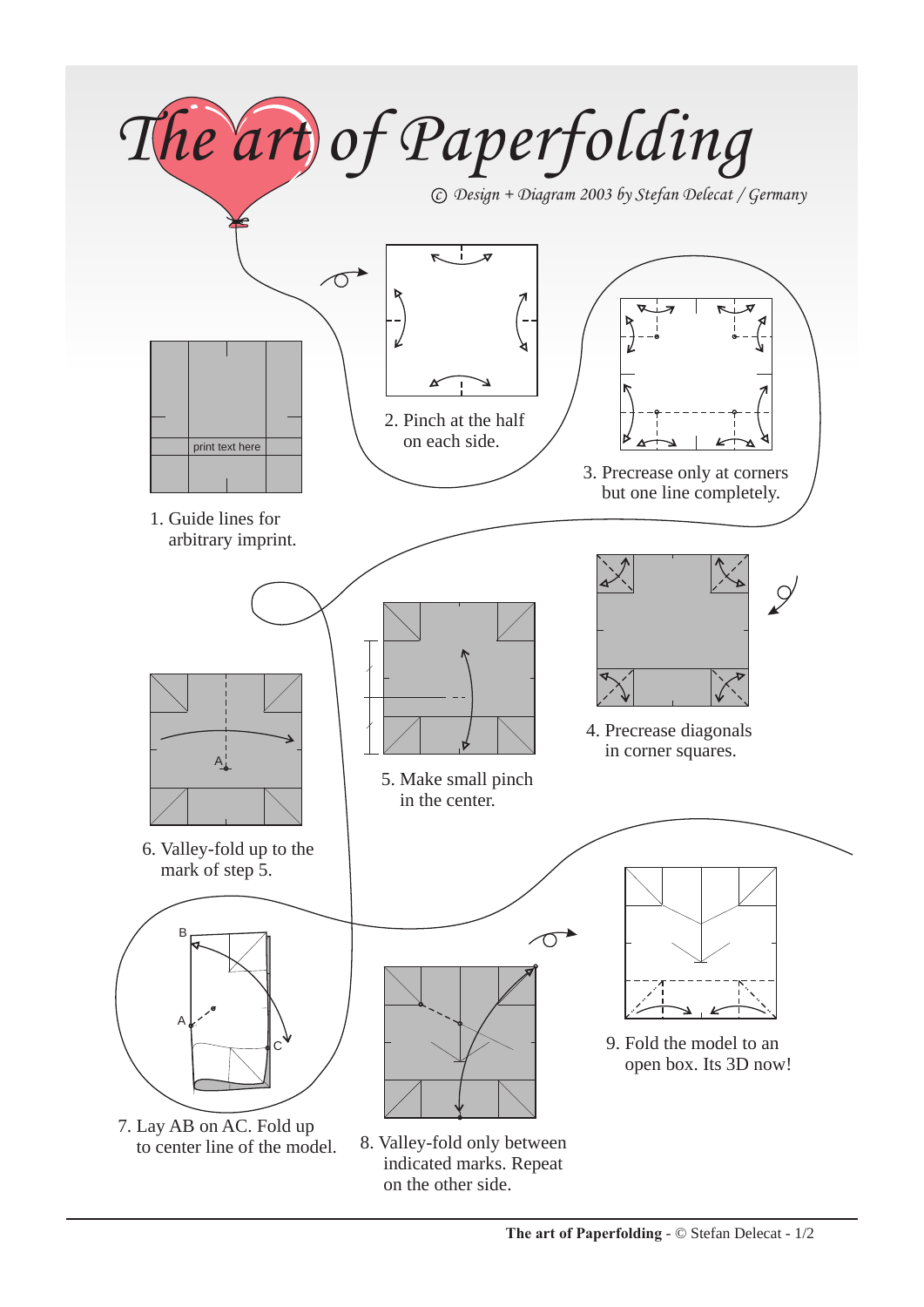